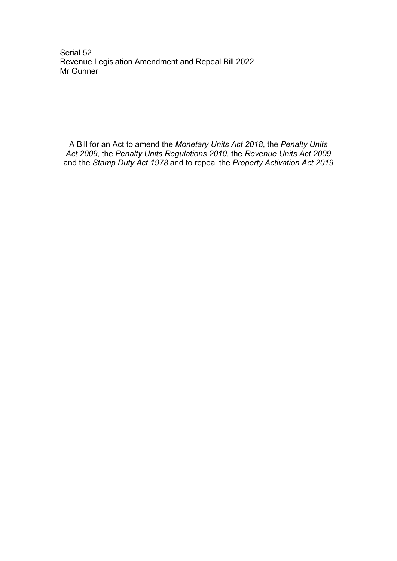Serial 52 Revenue Legislation Amendment and Repeal Bill 2022 Mr Gunner

A Bill for an Act to amend the *Monetary Units Act 2018*, the *Penalty Units Act 2009*, the *Penalty Units Regulations 2010*, the *Revenue Units Act 2009* and the *Stamp Duty Act 1978* and to repeal the *Property Activation Act 2019*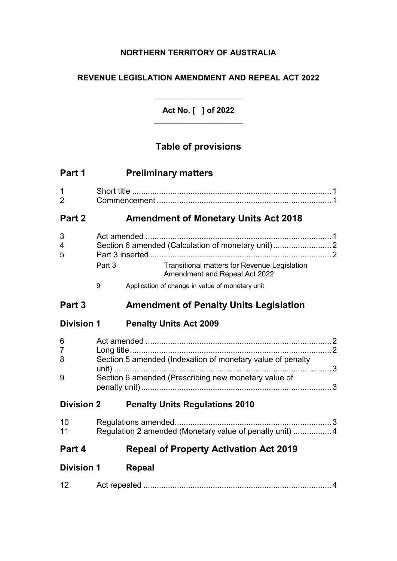# **NORTHERN TERRITORY OF AUSTRALIA**

# **REVENUE LEGISLATION AMENDMENT AND REPEAL ACT 2022**

\_\_\_\_\_\_\_\_\_\_\_\_\_\_\_\_\_\_\_\_ **Act No. [ ] of 2022** \_\_\_\_\_\_\_\_\_\_\_\_\_\_\_\_\_\_\_\_

# **Table of provisions**

| Part 1              |                                                            | <b>Preliminary matters</b>                                                    |  |
|---------------------|------------------------------------------------------------|-------------------------------------------------------------------------------|--|
| 1<br>$\overline{2}$ |                                                            |                                                                               |  |
| Part 2              | <b>Amendment of Monetary Units Act 2018</b>                |                                                                               |  |
| 3<br>4<br>5         | Section 6 amended (Calculation of monetary unit)2          |                                                                               |  |
|                     | Part 3                                                     | Transitional matters for Revenue Legislation<br>Amendment and Repeal Act 2022 |  |
|                     | 9                                                          | Application of change in value of monetary unit                               |  |
| Part 3              |                                                            | <b>Amendment of Penalty Units Legislation</b>                                 |  |
| <b>Division 1</b>   |                                                            | <b>Penalty Units Act 2009</b>                                                 |  |
| 6<br>7<br>8         | Section 5 amended (Indexation of monetary value of penalty |                                                                               |  |
| 9                   |                                                            | Section 6 amended (Prescribing new monetary value of                          |  |
| <b>Division 2</b>   |                                                            | <b>Penalty Units Regulations 2010</b>                                         |  |
| 10<br>11            |                                                            | Regulation 2 amended (Monetary value of penalty unit)  4                      |  |
| Part 4              |                                                            | <b>Repeal of Property Activation Act 2019</b>                                 |  |
| <b>Division 1</b>   |                                                            | <b>Repeal</b>                                                                 |  |
| 12                  |                                                            |                                                                               |  |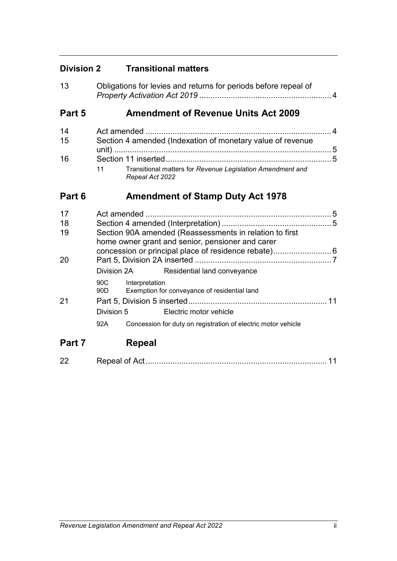# **Division 2 Transitional matters**

| 13 | Obligations for levies and returns for periods before repeal of |
|----|-----------------------------------------------------------------|
|    |                                                                 |

# **Part 5 Amendment of Revenue Units Act 2009**

| 14 |                                                                               |  |
|----|-------------------------------------------------------------------------------|--|
| 15 | Section 4 amended (Indexation of monetary value of revenue                    |  |
|    |                                                                               |  |
| 16 |                                                                               |  |
|    | Transitional matters for Revenue Legislation Amendment and<br>Repeal Act 2022 |  |

# **Part 6 Amendment of Stamp Duty Act 1978**

| 17     |                                                                                                             |                |                                                               | 5  |
|--------|-------------------------------------------------------------------------------------------------------------|----------------|---------------------------------------------------------------|----|
| 18     |                                                                                                             |                |                                                               |    |
| 19     | Section 90A amended (Reassessments in relation to first<br>home owner grant and senior, pensioner and carer |                |                                                               |    |
| 20     |                                                                                                             |                |                                                               |    |
|        | Division 2A                                                                                                 |                | Residential land conveyance                                   |    |
|        | 90C<br>90D —                                                                                                | Interpretation | Exemption for conveyance of residential land                  |    |
| -21    |                                                                                                             |                |                                                               | 11 |
|        | Division 5                                                                                                  |                | Electric motor vehicle                                        |    |
|        | 92A                                                                                                         |                | Concession for duty on registration of electric motor vehicle |    |
| Part 7 |                                                                                                             | Repeal         |                                                               |    |

22 Repeal of Act................................................................................. 11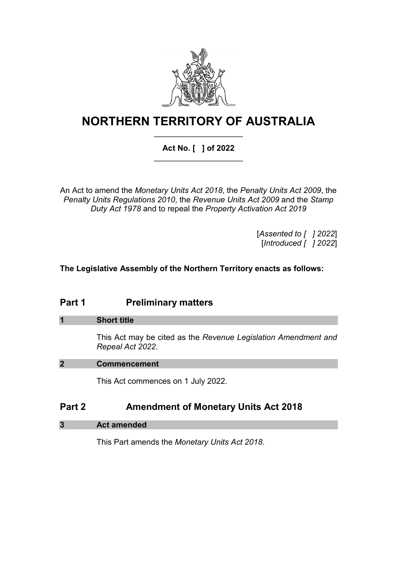

# **NORTHERN TERRITORY OF AUSTRALIA** \_\_\_\_\_\_\_\_\_\_\_\_\_\_\_\_\_\_\_\_

# **Act No. [ ] of 2022**  \_\_\_\_\_\_\_\_\_\_\_\_\_\_\_\_\_\_\_\_

An Act to amend the *Monetary Units Act 2018*, the *Penalty Units Act 2009*, the *Penalty Units Regulations 2010*, the *Revenue Units Act 2009* and the *Stamp Duty Act 1978* and to repeal the *Property Activation Act 2019*

> [*Assented to [ ] 2022*] [*Introduced [ ] 2022*]

## **The Legislative Assembly of the Northern Territory enacts as follows:**

# **Part 1 Preliminary matters**

#### **1 Short title**

This Act may be cited as the *Revenue Legislation Amendment and Repeal Act 2022*.

#### **2 Commencement**

This Act commences on 1 July 2022.

# **Part 2 Amendment of Monetary Units Act 2018**

**3 Act amended**

This Part amends the *Monetary Units Act 2018*.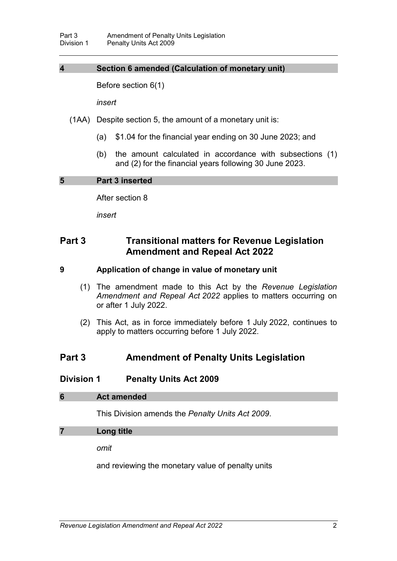## **4 Section 6 amended (Calculation of monetary unit)**

Before section 6(1)

*insert*

(1AA) Despite section 5, the amount of a monetary unit is:

- (a) \$1.04 for the financial year ending on 30 June 2023; and
- (b) the amount calculated in accordance with subsections (1) and (2) for the financial years following 30 June 2023.

#### **5 Part 3 inserted**

After section 8

*insert*

# **Part 3 Transitional matters for Revenue Legislation Amendment and Repeal Act 2022**

#### **9 Application of change in value of monetary unit**

- (1) The amendment made to this Act by the *Revenue Legislation Amendment and Repeal Act 2022* applies to matters occurring on or after 1 July 2022.
- (2) This Act, as in force immediately before 1 July 2022, continues to apply to matters occurring before 1 July 2022.

## **Part 3 Amendment of Penalty Units Legislation**

#### **Division 1 Penalty Units Act 2009**

#### **6 Act amended**

This Division amends the *Penalty Units Act 2009*.

#### **7 Long title**

*omit*

and reviewing the monetary value of penalty units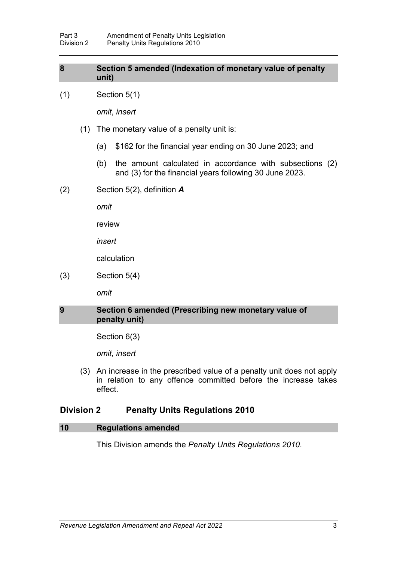### **8 Section 5 amended (Indexation of monetary value of penalty unit)**

(1) Section 5(1)

*omit*, *insert*

- (1) The monetary value of a penalty unit is:
	- (a) \$162 for the financial year ending on 30 June 2023; and
	- (b) the amount calculated in accordance with subsections (2) and (3) for the financial years following 30 June 2023.
- (2) Section 5(2), definition *A*

*omit*

review

*insert*

calculation

(3) Section 5(4)

*omit*

## **9 Section 6 amended (Prescribing new monetary value of penalty unit)**

Section 6(3)

*omit, insert*

(3) An increase in the prescribed value of a penalty unit does not apply in relation to any offence committed before the increase takes effect.

## **Division 2 Penalty Units Regulations 2010**

#### **10 Regulations amended**

This Division amends the *Penalty Units Regulations 2010*.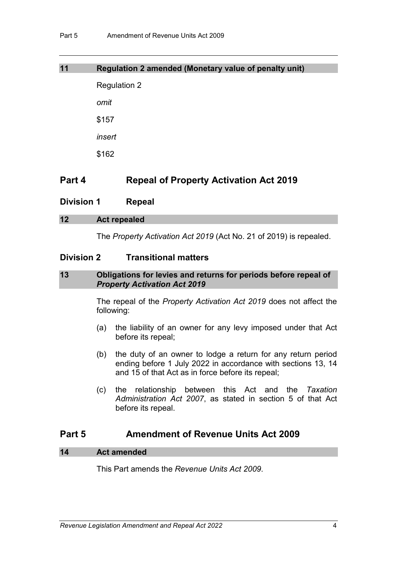| <b>Regulation 2</b> |
|---------------------|
| omit                |
| \$157               |
| insert              |
| \$162               |
|                     |

**11 Regulation 2 amended (Monetary value of penalty unit)**

# **Part 4 Repeal of Property Activation Act 2019**

**Division 1 Repeal**

# **12 Act repealed**

The *Property Activation Act 2019* (Act No. 21 of 2019) is repealed.

## **Division 2 Transitional matters**

#### **13 Obligations for levies and returns for periods before repeal of**  *Property Activation Act 2019*

The repeal of the *Property Activation Act 2019* does not affect the following:

- (a) the liability of an owner for any levy imposed under that Act before its repeal;
- (b) the duty of an owner to lodge a return for any return period ending before 1 July 2022 in accordance with sections 13, 14 and 15 of that Act as in force before its repeal;
- (c) the relationship between this Act and the *Taxation Administration Act 2007*, as stated in section 5 of that Act before its repeal.

# **Part 5 Amendment of Revenue Units Act 2009**

## **14 Act amended**

This Part amends the *Revenue Units Act 2009*.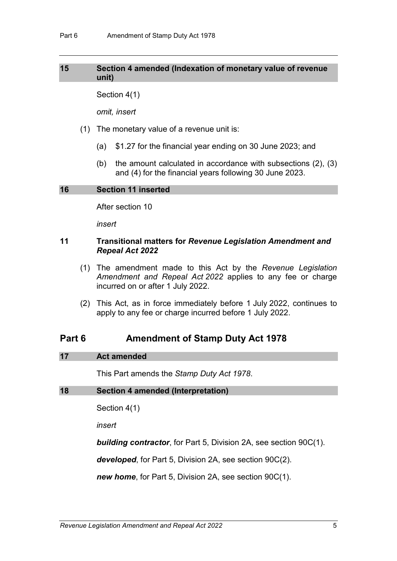## **15 Section 4 amended (Indexation of monetary value of revenue unit)**

Section 4(1)

*omit, insert*

- (1) The monetary value of a revenue unit is:
	- (a) \$1.27 for the financial year ending on 30 June 2023; and
	- (b) the amount calculated in accordance with subsections (2), (3) and (4) for the financial years following 30 June 2023.

#### **16 Section 11 inserted**

After section 10

*insert*

#### **11 Transitional matters for** *Revenue Legislation Amendment and Repeal Act 2022*

- (1) The amendment made to this Act by the *Revenue Legislation Amendment and Repeal Act 2022* applies to any fee or charge incurred on or after 1 July 2022.
- (2) This Act, as in force immediately before 1 July 2022, continues to apply to any fee or charge incurred before 1 July 2022.

# **Part 6 Amendment of Stamp Duty Act 1978**

#### **17 Act amended**

This Part amends the *Stamp Duty Act 1978*.

#### **18 Section 4 amended (Interpretation)**

Section 4(1)

*insert*

*building contractor*, for Part 5, Division 2A, see section 90C(1).

*developed*, for Part 5, Division 2A, see section 90C(2).

*new home*, for Part 5, Division 2A, see section 90C(1).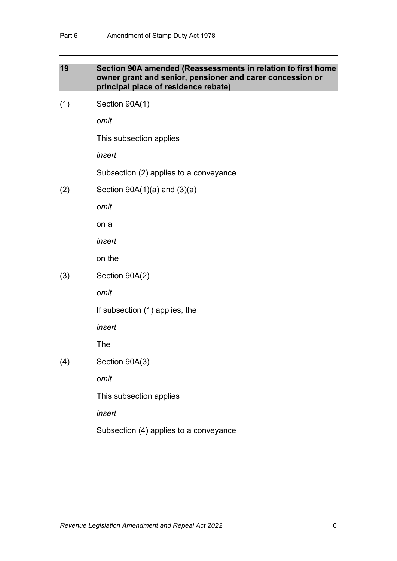#### **19 Section 90A amended (Reassessments in relation to first home owner grant and senior, pensioner and carer concession or principal place of residence rebate)**

(1) Section 90A(1)

*omit*

This subsection applies

*insert*

Subsection (2) applies to a conveyance

 $(2)$  Section 90A $(1)(a)$  and  $(3)(a)$ 

*omit*

on a

*insert*

on the

#### (3) Section 90A(2)

*omit*

If subsection (1) applies, the

*insert*

The

(4) Section 90A(3)

*omit*

This subsection applies

*insert*

Subsection (4) applies to a conveyance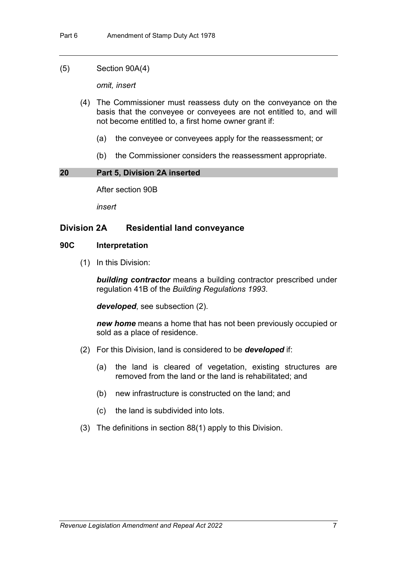#### (5) Section 90A(4)

*omit, insert*

- (4) The Commissioner must reassess duty on the conveyance on the basis that the conveyee or conveyees are not entitled to, and will not become entitled to, a first home owner grant if:
	- (a) the conveyee or conveyees apply for the reassessment; or
	- (b) the Commissioner considers the reassessment appropriate.

#### **20 Part 5, Division 2A inserted**

After section 90B

*insert*

## **Division 2A Residential land conveyance**

#### **90C Interpretation**

(1) In this Division:

*building contractor* means a building contractor prescribed under regulation 41B of the *Building Regulations 1993*.

*developed*, see subsection (2).

*new home* means a home that has not been previously occupied or sold as a place of residence.

- (2) For this Division, land is considered to be *developed* if:
	- (a) the land is cleared of vegetation, existing structures are removed from the land or the land is rehabilitated; and
	- (b) new infrastructure is constructed on the land; and
	- (c) the land is subdivided into lots.
- (3) The definitions in section 88(1) apply to this Division.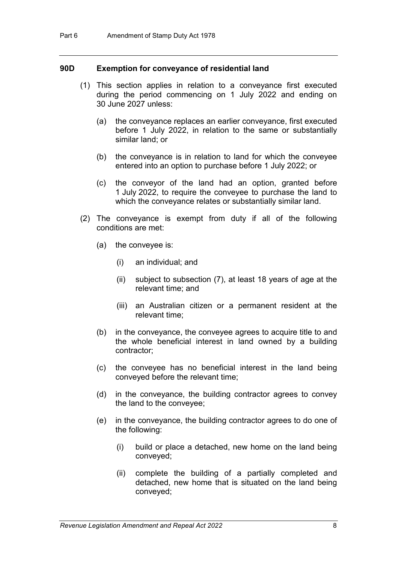#### **90D Exemption for conveyance of residential land**

- (1) This section applies in relation to a conveyance first executed during the period commencing on 1 July 2022 and ending on 30 June 2027 unless:
	- (a) the conveyance replaces an earlier conveyance, first executed before 1 July 2022, in relation to the same or substantially similar land; or
	- (b) the conveyance is in relation to land for which the conveyee entered into an option to purchase before 1 July 2022; or
	- (c) the conveyor of the land had an option, granted before 1 July 2022, to require the conveyee to purchase the land to which the conveyance relates or substantially similar land.
- (2) The conveyance is exempt from duty if all of the following conditions are met:
	- (a) the conveyee is:
		- (i) an individual; and
		- (ii) subject to subsection (7), at least 18 years of age at the relevant time; and
		- (iii) an Australian citizen or a permanent resident at the relevant time;
	- (b) in the conveyance, the conveyee agrees to acquire title to and the whole beneficial interest in land owned by a building contractor;
	- (c) the conveyee has no beneficial interest in the land being conveyed before the relevant time;
	- (d) in the conveyance, the building contractor agrees to convey the land to the conveyee;
	- (e) in the conveyance, the building contractor agrees to do one of the following:
		- (i) build or place a detached, new home on the land being conveyed;
		- (ii) complete the building of a partially completed and detached, new home that is situated on the land being conveyed;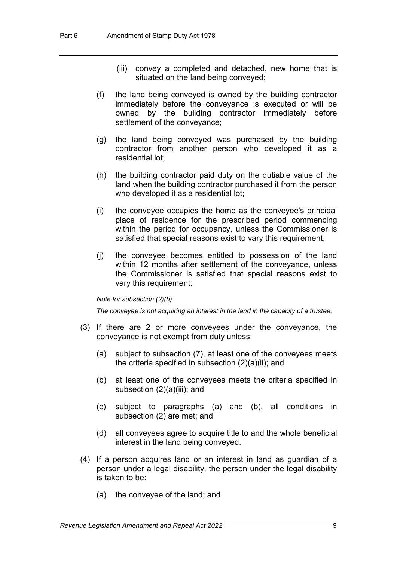- (iii) convey a completed and detached, new home that is situated on the land being conveyed;
- (f) the land being conveyed is owned by the building contractor immediately before the conveyance is executed or will be owned by the building contractor immediately before settlement of the conveyance;
- (g) the land being conveyed was purchased by the building contractor from another person who developed it as a residential lot;
- (h) the building contractor paid duty on the dutiable value of the land when the building contractor purchased it from the person who developed it as a residential lot;
- (i) the conveyee occupies the home as the conveyee's principal place of residence for the prescribed period commencing within the period for occupancy, unless the Commissioner is satisfied that special reasons exist to vary this requirement;
- (j) the conveyee becomes entitled to possession of the land within 12 months after settlement of the conveyance, unless the Commissioner is satisfied that special reasons exist to vary this requirement.

#### *Note for subsection (2)(b)*

*The conveyee is not acquiring an interest in the land in the capacity of a trustee.*

- (3) If there are 2 or more conveyees under the conveyance, the conveyance is not exempt from duty unless:
	- (a) subject to subsection (7), at least one of the conveyees meets the criteria specified in subsection (2)(a)(ii); and
	- (b) at least one of the conveyees meets the criteria specified in subsection (2)(a)(iii); and
	- (c) subject to paragraphs (a) and (b), all conditions in subsection (2) are met; and
	- (d) all conveyees agree to acquire title to and the whole beneficial interest in the land being conveyed.
- (4) If a person acquires land or an interest in land as guardian of a person under a legal disability, the person under the legal disability is taken to be:
	- (a) the conveyee of the land; and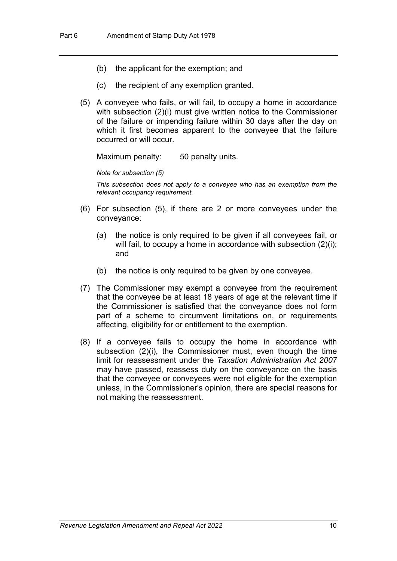- (b) the applicant for the exemption; and
- (c) the recipient of any exemption granted.
- (5) A conveyee who fails, or will fail, to occupy a home in accordance with subsection (2)(i) must give written notice to the Commissioner of the failure or impending failure within 30 days after the day on which it first becomes apparent to the conveyee that the failure occurred or will occur.

Maximum penalty: 50 penalty units.

*Note for subsection (5)*

*This subsection does not apply to a conveyee who has an exemption from the relevant occupancy requirement.*

- (6) For subsection (5), if there are 2 or more conveyees under the conveyance:
	- (a) the notice is only required to be given if all conveyees fail, or will fail, to occupy a home in accordance with subsection (2)(i); and
	- (b) the notice is only required to be given by one conveyee.
- (7) The Commissioner may exempt a conveyee from the requirement that the conveyee be at least 18 years of age at the relevant time if the Commissioner is satisfied that the conveyance does not form part of a scheme to circumvent limitations on, or requirements affecting, eligibility for or entitlement to the exemption.
- (8) If a conveyee fails to occupy the home in accordance with subsection (2)(i), the Commissioner must, even though the time limit for reassessment under the *Taxation Administration Act 2007*  may have passed, reassess duty on the conveyance on the basis that the conveyee or conveyees were not eligible for the exemption unless, in the Commissioner's opinion, there are special reasons for not making the reassessment.